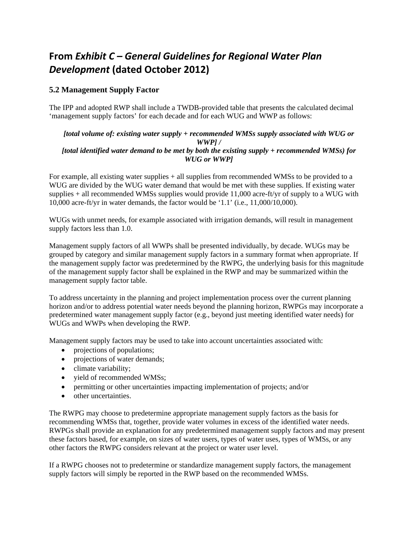# **From** *Exhibit C – General Guidelines for Regional Water Plan Development* **(dated October 2012)**

#### **5.2 Management Supply Factor**

The IPP and adopted RWP shall include a TWDB-provided table that presents the calculated decimal 'management supply factors' for each decade and for each WUG and WWP as follows:

#### *[total volume of: existing water supply + recommended WMSs supply associated with WUG or WWP] / [total identified water demand to be met by both the existing supply + recommended WMSs) for WUG or WWP]*

For example, all existing water supplies + all supplies from recommended WMSs to be provided to a WUG are divided by the WUG water demand that would be met with these supplies. If existing water supplies  $+$  all recommended WMSs supplies would provide 11,000 acre-ft/yr of supply to a WUG with 10,000 acre-ft/yr in water demands, the factor would be '1.1' (i.e., 11,000/10,000).

WUGs with unmet needs, for example associated with irrigation demands, will result in management supply factors less than 1.0.

Management supply factors of all WWPs shall be presented individually, by decade. WUGs may be grouped by category and similar management supply factors in a summary format when appropriate. If the management supply factor was predetermined by the RWPG, the underlying basis for this magnitude of the management supply factor shall be explained in the RWP and may be summarized within the management supply factor table.

To address uncertainty in the planning and project implementation process over the current planning horizon and/or to address potential water needs beyond the planning horizon, RWPGs may incorporate a predetermined water management supply factor (e.g., beyond just meeting identified water needs) for WUGs and WWPs when developing the RWP.

Management supply factors may be used to take into account uncertainties associated with:

- projections of populations;
- projections of water demands;
- climate variability;
- vield of recommended WMSs;
- permitting or other uncertainties impacting implementation of projects; and/or
- other uncertainties.

The RWPG may choose to predetermine appropriate management supply factors as the basis for recommending WMSs that, together, provide water volumes in excess of the identified water needs. RWPGs shall provide an explanation for any predetermined management supply factors and may present these factors based, for example, on sizes of water users, types of water uses, types of WMSs, or any other factors the RWPG considers relevant at the project or water user level.

If a RWPG chooses not to predetermine or standardize management supply factors, the management supply factors will simply be reported in the RWP based on the recommended WMSs.